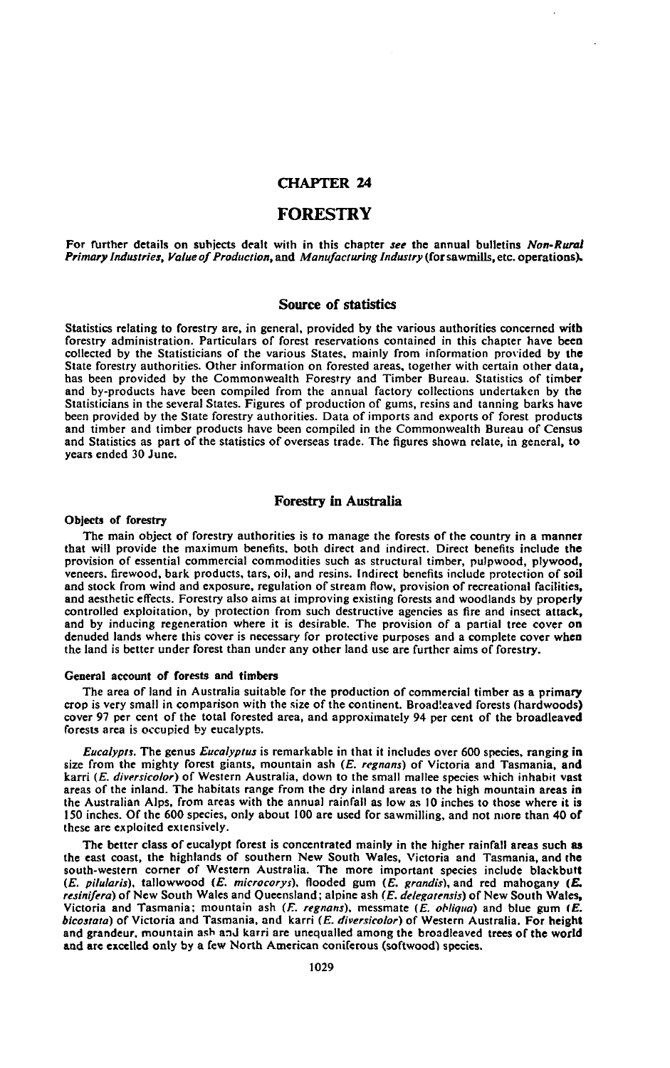# **CHAPTER 24**

# **FORESTRY**

For further details on subjects dealt with in this chapter *see* the annual bulletins *Non-Rural Primary Industries, Value of Production,* and *Manufacturing Industry* (for sawmills, etc. operations).

### **Source of statistics**

Statistics relating to forestry are, in general, provided by the various authorities concerned with forestry administration. Particulars of forest reservations contained in this chapter have been collected by the Statisticians of the various States, mainly from information provided by the State forestry authorities. Other information on forested areas, together with certain other data, has been provided by the Commonwealth Forestry and Timber Bureau. Statistics of timber and by-products have been compiled from the annual factory collections undertaken by the Statisticians in the several States. Figures of production of gums, resins and tanning barks have been provided by the State forestry authorities. Data of imports and exports of forest products and timber and timber products have been compiled in the Commonwealth Bureau of Census and Statistics as part of the statistics of overseas trade. The figures shown relate, in general, to years ended 30 June.

### Forestry in Australia

### Objects of forestry

The main object of forestry authorities is to manage the forests of the country in a manner that will provide the maximum benefits, both direct and indirect. Direct benefits include the provision of essential commercial commodities such as structural timber, pulpwood, plywood, veneers, firewood, bark products, tars, oil, and resins. Indirect benefits include protection of soil and stock from wind and exposure, regulation of stream flow, provision of recreational facilities, and aesthetic effects. Forestry also aims at improving existing forests and woodlands by properly controlled exploitation, by protection from such destructive agencies as fire and insect attack, and by inducing regeneration where it is desirable. The provision of a partial tree cover on denuded lands where this cover is necessary for protective purposes and a complete cover when the land is better under forest than under any other land use are further aims of forestry.

### **General account of forests and timbers**

The area of land in Australia suitable for the production of commercial timber as a primary crop is very small in comparison with the size of the continent. Broadleaved forests (hardwoods) cover 97 per cent of the total forested area, and approximately 94 per cent of the broadleaved forests area is occupied by eucalypts.

*Eucalypti.* The genus *Eucalyptus* is remarkable in that it includes over 600 species, ranging in size from the mighty forest giants, mountain ash *(E. regnans)* of Victoria and Tasmania, and karri *(E. diversicolor)* of Western Australia, down to the small mallee species which inhabit vast areas of the inland. The habitats range from the dry inland areas to the high mountain areas in the Australian Alps, from areas with the annual rainfall as low as 10 inches to those where it is 150 inches. Of the 600 species, only about 100 are used for sawmilling, and not more than 40 of these are exploited extensively.

The better class of eucalypt forest is concentrated mainly in the higher rainfall areas such as the east coast, the highlands of southern New South Wales, Victoria and Tasmania, and the south-western corner of Western Australia. The more important species include blackbutt *(E. pilularis),* tallowwood *(E. microcorys),* flooded gum (£. *grandis),* and red mahogany *(E. resiniftra)* of New South Wales and Queensland; alpine ash *(E. delegatensis)* of New South Wales, Victoria and Tasmania; mountain ash *(E. regnans),* messmate *(E. obliqua)* and blue gum *(E. bicostata)* of Victoria and Tasmania, and karri *(E. diversicolor)* of Western Australia. For height and grandeur, mountain ash and karri are unequalled among the broadleaved trees of the world and are excelled only by a few North American coniferous (softwood) species.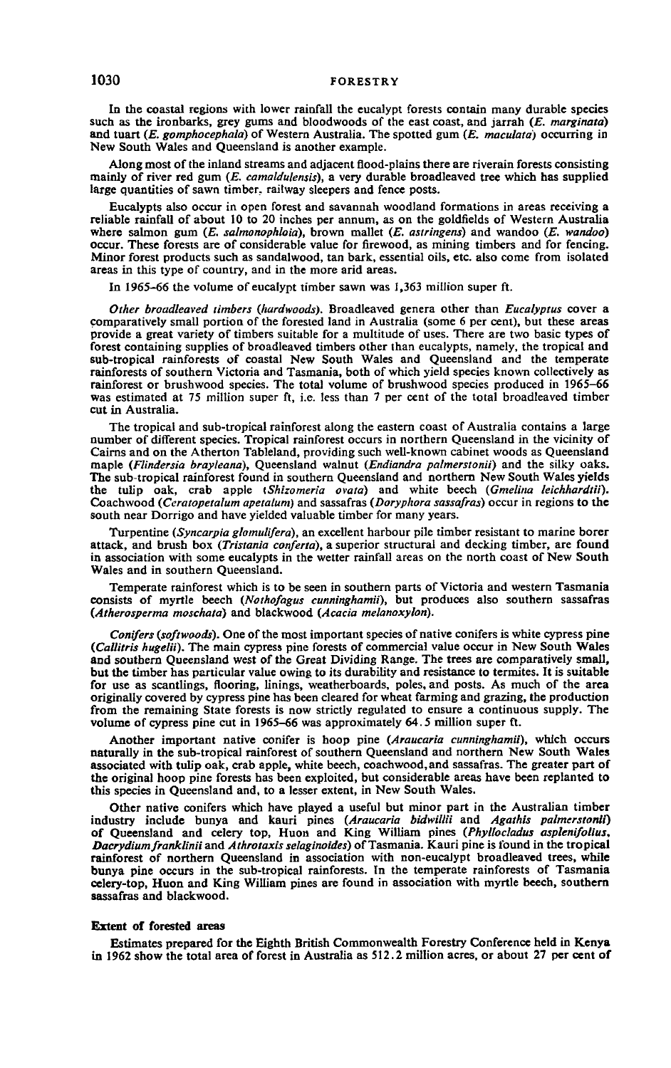In the coastal regions with lower rainfall the eucalypt forests contain many durable species such as the ironbarks, grey gums and bloodwoods of the east coast, and jarrah *(E. marginata)* and tuart *(E. gomphocephala)* of Western Australia. The spotted gum *(E. maculata)* occurring in New South Wales and Queensland is another example.

Along most of the inland streams and adjacent flood-plains there are riverain forests consisting mainly of river red gum *(E. camaldulensis),* a very durable broadleaved tree which has supplied large quantities of sawn timber, railway sleepers and fence posts.

Eucalypts also occur in open forest and savannah woodland formations in areas receiving a reliable rainfall of about 10 to 20 inches per annum, as on the goldfields of Western Australia where salmon gum *(E. salmonophloia),* brown mallet *(E. astringens)* and wandoo *(E. wandoo)* occur. These forests are of considerable value for firewood, as mining timbers and for fencing. Minor forest products such as sandalwood, tan bark, essential oils, etc. also come from isolated areas in this type of country, and in the more arid areas.

In 1965-66 the volume of eucalypt timber sawn was 1,363 million super ft.

*Other broadleaved timbers (hardwoods).* Broadleaved genera other than *Eucalyptus* cover a comparatively small portion of the forested land in Australia (some 6 per cent), but these areas provide a great variety of timbers suitable for a multitude of uses. There are two basic types of forest containing supplies of broadleaved timbers other than eucalypts, namely, the tropical and sub-tropical rainforests of coastal New South Wales and Queensland and the temperate rainforests of southern Victoria and Tasmania, both of which yield species known collectively as rainforest or brushwood species. The total volume of brushwood species produced in 1965-66 was estimated at 75 million super ft, i.e. less than 7 per cent of the total broadleaved timber cut in Australia.

The tropical and sub-tropical rainforest along the eastern coast of Australia contains a large number of different species. Tropical rainforest occurs in northern Queensland in the vicinity of Cairns and on the Atherton Tableland, providing such well-known cabinet woods as Queensland maple *(Flindersia brayleana),* Queensland walnut *(Endiandra palmerstonii)* and the silky oaks. The sub-tropical rainforest found in southern Queensland and northern New South Wales yields the tulip oak, crab apple *(Shizomeria ovata)* and white beech *(Gmelina leichhardtii).* Coachwood *(Ceratopetalum apetalum)* and sassafras *(Doryphora sassafras)* occur in regions to the south near Dorrigo and have yielded valuable timber for many years.

Turpentine *(Syncarpia glomulifera),* an excellent harbour pile timber resistant to marine borer attack, and brush box *(Tristania conferta),* a superior structural and decking timber, are found in association with some eucalypts in the wetter rainfall areas on the north coast of New South Wales and in southern Queensland.

Temperate rainforest which is to be seen in southern parts of Victoria and western Tasmania consists of myrtle beech *(Nothofagus cunninghamii),* but produces also southern sassafras *(Atherosperma moschata)* and blackwood *(Acacia melanoxylori).*

*Conifers (softwoods).* One of the most important species of native conifers is white cypress pine *(Callitris hugelii).* The main cypress pine forests of commercial value occur in New South Wales and southern Queensland west of the Great Dividing Range. The trees are comparatively small, but the timber has particular value owing to its durability and resistance to termites. It is suitable for use as scantlings, flooring, linings, weatherboards, poles, and posts. As much of the area originally covered by cypress pine has been cleared for wheat farming and grazing, the production from the remaining State forests is now strictly regulated to ensure a continuous supply. The volume of cypress pine cut in 1965-66 was approximately 64.5 million super ft.

Another important native conifer is hoop pine *(Araucaria cunninghamii),* which occurs naturally in the sub-tropical rainforest of southern Queensland and northern New South Wales associated with tulip oak, crab apple, white beech, coachwood.and sassafras. The greater part of the original hoop pine forests has been exploited, but considerable areas have been replanted to this species in Queensland and, to a lesser extent, in New South Wales.

Other native conifers which have played a useful but minor part in the Australian timber industry include bunya and kauri pines *(Araucaria bidwillii* and *Agathis palmerstonii)* of Queensland and celery top, Huon and King William pines *(Phyllocladus asplenifolius, Dacrydiumfranklinii* and *Athrotaxis selaginoides)* of Tasmania. Kauri pine is found in the tropical rainforest of northern Queensland in association with non-eucalypt broadleaved trees, while bunya pine occurs in the sub-tropical rainforests. In the temperate rainforests of Tasmania celery-top, Huon and King William pines are found in association with myrtle beech, southern sassafras and blackwood.

#### **Extent of forested areas**

Estimates prepared for the Eighth British Commonwealth Forestry Conference held in Kenya in 1962 show the total area of forest in Australia as 512.2 million acres, or about 27 per cent of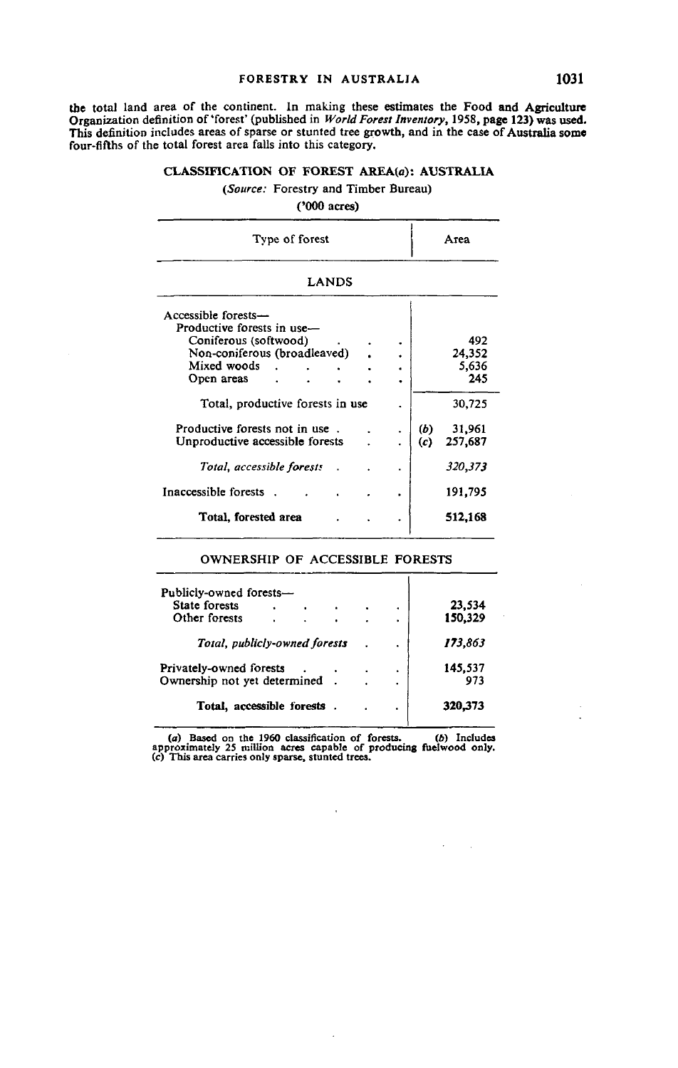the total land area of the continent. In making these estimates the Food and Agriculture Organization definition of 'forest' (published in *World Forest Inventory,* 1958, page 123) was used. This definition includes areas of sparse or stunted tree growth, and in the case of Australia some four-fifths of the total forest area falls into this category.

### **CLASSIFICATION OF FOREST AREA(a): AUSTRALIA**

### *(Source:* Forestry and Timber Bureau)

### ('000 acres)

| Type of forest                                                                                                                                                              |        | Атеа                     |                                         |  |
|-----------------------------------------------------------------------------------------------------------------------------------------------------------------------------|--------|--------------------------|-----------------------------------------|--|
| <b>LANDS</b>                                                                                                                                                                |        |                          |                                         |  |
| Accessible forests-<br>Productive forests in use-<br>Coniferous (softwood)<br>Non-coniferous (broadleaved)<br>Mixed woods<br>Open areas<br>Total, productive forests in use | ٠<br>٠ |                          | 492<br>24,352<br>5,636<br>245<br>30,725 |  |
| Productive forests not in use.<br>Unproductive accessible forests<br>Total, accessible forests<br>Inaccessible forests                                                      | ٠<br>٠ | (b)<br>$\left( c\right)$ | 31,961<br>257.687<br>320,373<br>191,795 |  |
| Total, forested area                                                                                                                                                        |        |                          | 512,168                                 |  |

# OWNERSHIP OF ACCESSIBLE FORESTS

| Publicly-owned forests-       |  |  |                |         |
|-------------------------------|--|--|----------------|---------|
| <b>State forests</b>          |  |  | ٠              | 23,534  |
| Other forests                 |  |  | ٠              | 150,329 |
| Total, publicly-owned forests |  |  | $\blacksquare$ | 173,863 |
| Privately-owned forests       |  |  | ٠              | 145.537 |
| Ownership not yet determined  |  |  | ٠              | 973     |
| Total, accessible forests     |  |  | ٠              | 320.373 |

(a) Based on the 1960 classification of forests. *(b)* Includes approximately 25 million acres capable of producing fuel wood only. *(c)* This area carries only sparse, stunted trees.

 $\ddot{\phantom{a}}$ 

 $\ddot{\phantom{a}}$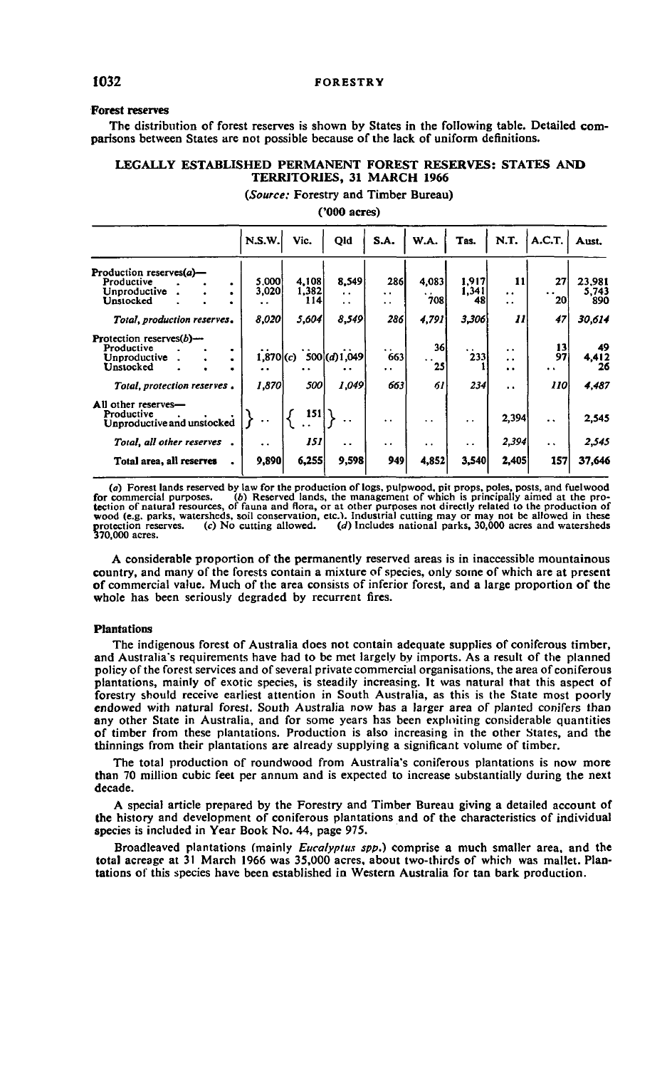### **Forest reserves**

The distribution of forest reserves is shown by States in the following table. Detailed comparisons between States are not possible because of the lack of uniform definitions.

### **LEGALLY ESTABLISHED PERMANENT FOREST RESERVES: STATES AND TERRITORIES, 31 MARCH 1966**

*(Source:* Forestry and Timber Bureau)

### ('000 acres)

|                                                                             | N.S.W.               | Vic.           | Qld                         | S.A.                               | W.A.                              | Tas.                 | N.T.                            | A.C.T.                           | Aust.             |
|-----------------------------------------------------------------------------|----------------------|----------------|-----------------------------|------------------------------------|-----------------------------------|----------------------|---------------------------------|----------------------------------|-------------------|
| Production reserves(a)-<br>Productive                                       | 5.000                | 4,108          | 8,549                       | 286                                | 4,083                             | 1,917                | 11                              | 27                               | 23,981            |
| Unproductive<br>Unstocked                                                   | 3,020<br>. .         | 1,382<br>114 I | $\ddot{\phantom{a}}$<br>. . | $\ddot{\phantom{0}}$<br>. .        | $\ddot{\phantom{0}}$<br>708       | 1,341<br>48          | $\ddot{\phantom{0}}$<br>. .     | . .<br>20                        | 5,743<br>890      |
| Total, production reserves,                                                 | 8,020                | 5,604          | 8,549                       | 2861                               | 4,791                             | 3,306                | 11                              | 47                               | 30.614            |
| Protection reserves $(b)$ —<br>Productive<br>٠<br>Unproductive<br>Unstocked | $1,870$ (c)<br>. .   |                | 500(d)1,049                 | $\ddot{\phantom{0}}$<br>663<br>. . | 36l<br>$\ddot{\phantom{0}}$<br>25 | $\cdot$ .<br>233     | . .<br>$\ddot{\phantom{0}}$<br> | 13<br>97<br>$\ddot{\phantom{1}}$ | 49<br>4,412<br>26 |
| Total, protection reserves.                                                 | 1,870                | 500            | 1,049                       | 663                                | 61                                | 234                  | $\ddot{\phantom{a}}$            | 110                              | 4,487             |
| All other reserves-<br>Productive<br>Unproductive and unstocked             |                      | 151            |                             | $\ddot{\phantom{0}}$               | $\cdot$ .                         | $\bullet$            | 2,394                           | $\ddot{\phantom{a}}$             | 2.545             |
| Total, all other reserves                                                   | $\ddot{\phantom{0}}$ | 151            | $\ddot{\phantom{0}}$        | $\ddot{\phantom{0}}$               | $\ddot{\phantom{0}}$              | $\ddot{\phantom{a}}$ | 2,394                           | $\ddot{\phantom{a}}$             | 2,545             |
| Total area, all reserves                                                    | 9,890                | 6,255          | 9,598                       | 949                                | 4,852                             | 3,540                | 2,405                           | 157                              | 37,646            |

(a) Forest lands reserved by law for the production of logs, pulpwood, pit props, poles, posts, and fuelwood)<br>for commercial purposes. (b) Reserved lands, the management of which is principally aimed at the pro-<br>tection of wood (e.g. parks, watersheds, soil conservation, etc.). Industrial cutting may or may not be allowed in these protection reserves. (c) No cutting allowed. (d) Includes national parks, 30,000 acres and watersheds 370,000 acres.

A considerable proportion of the permanently reserved areas is in inaccessible mountainous country, and many of the forests contain a mixture of species, only some of which are at present of commercial value. Much of the area consists of inferior forest, and a large proportion of the whole has been seriously degraded by recurrent fires.

#### **Plantations**

The indigenous forest of Australia does not contain adequate supplies of coniferous timber, and Australia's requirements have had to be met largely by imports. As a result of the planned policy of the forest services and of several private commercial organisations, the area of coniferous plantations, mainly of exotic species, is steadily increasing. It was natural that this aspect of forestry should receive earliest attention in South Australia, as this is the State most poorly endowed with natural forest. South Australia now has a larger area of planted conifers than any other State in Australia, and for some years has been exploiting considerable quantities of timber from these plantations. Production is also increasing in the other States, and the thinnings from their plantations are already supplying a significant volume of timber.

The total production of roundwood from Australia's coniferous plantations is now more than 70 million cubic feet per annum and is expected to increase substantially during the next decade.

A special article prepared by the Forestry and Timber Bureau giving a detailed account of the history and development of coniferous plantations and of the characteristics of individual species is included in Year Book No. 44, page 975.

Broadleaved plantations (mainly *Eucalyptus spp.)* comprise a much smaller area, and the total acreage at 31 March 1966 was 35,000 acres, about two-thirds of which was mallet. Plantations of this species have been established in Western Australia for tan bark production.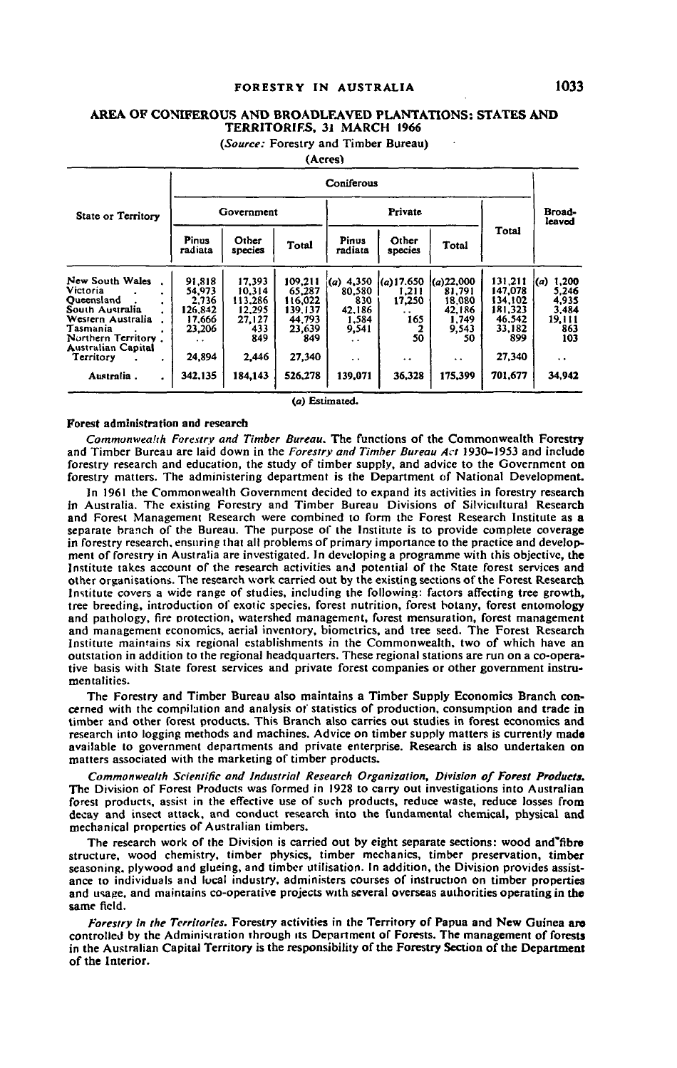# **FORESTRY IN AUSTRALIA 1033**

# **AREA OF CONIFEROUS AND BROADLEAVED PLANTATIONS: STATES AND TERRITORIES, 31 MARCH 1966**

*(Source:* **Forestry and Timber Bureau) (Acres)**

|                                                                                                                                                                |                                                                           |                                                                        |                                                                              | ,,,,,,,,                                                                                   |                                                                             |                                                                                         |                                                                               |                                                                                         |  |  |  |
|----------------------------------------------------------------------------------------------------------------------------------------------------------------|---------------------------------------------------------------------------|------------------------------------------------------------------------|------------------------------------------------------------------------------|--------------------------------------------------------------------------------------------|-----------------------------------------------------------------------------|-----------------------------------------------------------------------------------------|-------------------------------------------------------------------------------|-----------------------------------------------------------------------------------------|--|--|--|
|                                                                                                                                                                | Coniferous                                                                |                                                                        |                                                                              |                                                                                            |                                                                             |                                                                                         |                                                                               |                                                                                         |  |  |  |
| State or Territory                                                                                                                                             |                                                                           | Government                                                             |                                                                              |                                                                                            | Private                                                                     |                                                                                         | Broad-<br>leaved                                                              |                                                                                         |  |  |  |
|                                                                                                                                                                | <b>Pinus</b><br>radiata                                                   | Other<br>species                                                       | Total                                                                        | Pinus<br>radiata                                                                           | Other<br>species                                                            | Total                                                                                   | Total                                                                         |                                                                                         |  |  |  |
| New South Wales<br>Victoria<br>Oucensland<br>South Australia<br>Western Australia<br>Tasmania<br>Northern Territory.<br><b>Australian Capital</b><br>Territory | 91.818<br>54,973<br>2.736<br>126.842<br>17.666<br>23,206<br>. .<br>24,894 | 17,393<br>10.314<br>113.286<br>12.295<br>27,127<br>433<br>849<br>2,446 | 109,211<br>65,287<br>116.022<br>139.137<br>44,793<br>23,639<br>849<br>27,340 | $(a)$ 4,350<br>80.580<br>830<br>42.186<br>1.584<br>9,541<br>$\sim$<br>$\ddot{\phantom{a}}$ | $(a)$ 17.650<br>1.211<br>17,250<br>. .<br>165<br>50<br>$\ddot{\phantom{0}}$ | (a)22,000<br>81,791<br>18.080<br>42.186<br>1.749<br>9,543<br>50<br>$\ddot{\phantom{0}}$ | 131.211<br>147.078<br>134.102<br>181,323<br>46,542<br>33,182<br>899<br>27,340 | 1,200<br>(a)<br>5.246<br>4.935<br>3.484<br>19,111<br>863<br>103<br>$\ddot{\phantom{0}}$ |  |  |  |
| Australia.                                                                                                                                                     | 342.135                                                                   | 184,143                                                                | 526,278                                                                      | 139,071                                                                                    | 36,328                                                                      | 175,399                                                                                 | 701,677                                                                       | 34,942                                                                                  |  |  |  |

(a) Estimated.

#### **Forest administration and research**

*Commanweahh Forestry and Timber Bureau.* The functions of the Commonwealth Forestry and Timber Bureau are laid down in the *Forestry and Timber Bureau Act* 1930-1953 and include forestry research and education, the study of timber supply, and advice to the Government on forestry matters. The administering department is the Department of National Development.

In 1961 the Commonwealth Government decided to expand its activities in forestry research in Australia. The existing Forestry and Timber Bureau Divisions of Silvicultural Research and Forest Management Research were combined to form the Forest Research Institute as a separate branch of the Bureau. The purpose of the Institute is to provide complete coverage in forestry research, ensuring that all problems of primary importance to the practice and development of forestry in Australia are investigated. In developing a programme with this objective, the Institute takes account of the research activities and potential of the State forest services and other organisations. The research work carried out by the existing sections of the Forest Research Institute covers a wide range of studies, including the following: factors affecting tree growth, tree breeding, introduction of exotic species, forest nutrition, forest botany, forest entomology and pathology, fire protection, watershed management, forest mensuration, forest management and management economics, aerial inventory, biometrics, and tree seed. The Forest Research Institute maintains six regional establishments in the Commonwealth, two of which have an outstation in addition to the regional headquarters. These regional stations are run on a co-operative basis with State forest services and private forest companies or other government instrumentalities.

The Forestry and Timber Bureau also maintains a Timber Supply Economics Branch concerned with the compilation and analysis of statistics of production, consumption and trade in timber and other forest products. This Branch also carries out studies in forest economics and research into logging methods and machines. Advice on timber supply matters is currently made available to government departments and private enterprise. Research is also undertaken on matters associated with the marketing of timber products.

*Commonwealth Scientific and Industrial Research Organization, Division of Forest Products.* The Division of Forest Products was formed in 1928 to carry out investigations into Australian forest products, assist in the effective use of such products, reduce waste, reduce losses from decay and insect attack, and conduct research into the fundamental chemical, physical and mechanical properties of Australian timbers.

The research work of the Division is carried out by eight separate sections: wood and'fibre structure, wood chemistry, timber physics, timber mechanics, timber preservation, timber seasoning, plywood and glueing, and timber utilisation. In addition, the Division provides assistance to individuals and lucal industry, administers courses of instruction on timber properties and usage, and maintains co-operative projects with several overseas authorities operating in the same field.

*Forestry in the Territories.* **Forestry activities in the Territory of Papua and New Guinea are controlled by the Administration through its Department of Forests. The management of forests in the Australian Capital Territory is the responsibility of the Forestry Section of the Department of the Interior.**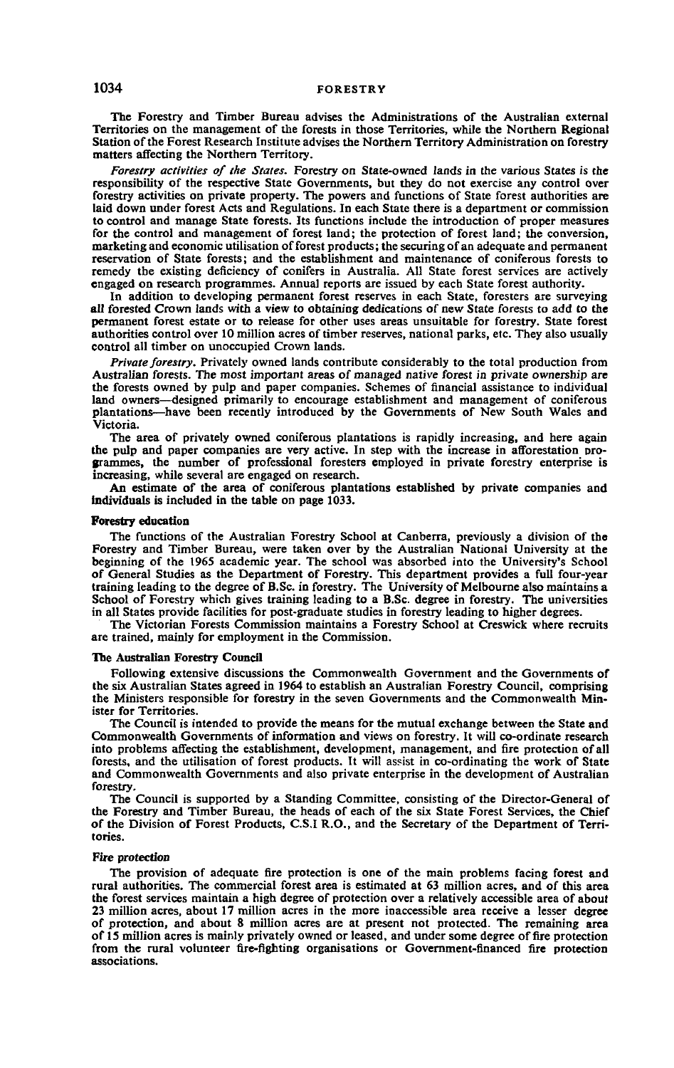The Forestry and Timber Bureau advises the Administrations of the Australian external Territories on the management of the forests in those Territories, while the Northern Regional Station of the Forest Research Institute advises the Northern Territory Administration on forestry matters affecting the Northern Territory.

*Forestry activities of the States.* Forestry on State-owned lands in the various States is the responsibility of the respective State Governments, but they do not exercise any control over forestry activities on private property. The powers and functions of State forest authorities are laid down under forest Acts and Regulations. In each State there is a department or commission to control and manage State forests. Its functions include the introduction of proper measures for the control and management of forest land; the protection of forest land; the conversion, marketing and economic utilisation of forest products; the securing of an adequate and permanent reservation of State forests; and the establishment and maintenance of coniferous forests to remedy the existing deficiency of conifers in Australia. All State forest services are actively engaged on research programmes. Annual reports are issued by each State forest authority.

In addition to developing permanent forest reserves in each State, foresters are surveying all forested Crown lands with a view to obtaining dedications of new State forests to add to the permanent forest estate or to release for other uses areas unsuitable for forestry. State forest authorities control over 10 million acres of timber reserves, national parks, etc. They also usually control all timber on unoccupied Crown lands.

*Private forestry.* Privately owned lands contribute considerably to the total production from Australian forests. The most important areas of managed native forest in private ownership are the forests owned by pulp and paper companies. Schemes of financial assistance to individual land owners—designed primarily to encourage establishment and management of coniferous plantations—have been recently introduced by the Governments of New South Wales and Victoria.

The area of privately owned coniferous plantations is rapidly increasing, and here again the pulp and paper companies are very active. In step with the increase in afforestation programmes, the number of professional foresters employed in private forestry enterprise is increasing, while several are engaged on research.

An estimate of the area of coniferous plantations established by private companies and individuals is included in the table on page 1033.

#### **Forestry education**

The functions of the Australian Forestry School at Canberra, previously a division of the Forestry and Timber Bureau, were taken over by the Australian National University at the beginning of the 1965 academic year. The school was absorbed into the University's School of General Studies as the Department of Forestry. This department provides a full four-year training leading to the degree of B.Sc. in forestry. The University of Melbourne also maintains a School of Forestry which gives training leading to a B.Sc. degree in forestry. The universities in all States provide facilities for post-graduate studies in forestry leading to higher degrees.

The Victorian Forests Commission maintains a Forestry School at Creswick where recruits are trained, mainly for employment in the Commission.

#### **The Australian Forestry Council**

Following extensive discussions the Commonwealth Government and the Governments of the six Australian States agreed in 1964 to establish an Australian Forestry Council, comprising the Ministers responsible for forestry in the seven Governments and the Commonwealth Minister for Territories.

The Council is intended to provide the means for the mutual exchange between the State and Commonwealth Governments of information and views on forestry. It will co-ordinate research into problems affecting the establishment, development, management, and fire protection of all forests, and the utilisation of forest products. It will assist in co-ordinating the work of State and Commonwealth Governments and also private enterprise in the development of Australian forestry.

The Council is supported by a Standing Committee, consisting of the Director-General of the Forestry and Timber Bureau, the heads of each of the six State Forest Services, the Chief of the Division of Forest Products, C.S.I R.O., and the Secretary of the Department of Territories.

#### **Fire protection**

The provision of adequate fire protection is one of the main problems facing forest and rural authorities. The commercial forest area is estimated at 63 million acres, and of this area the forest services maintain a high degree of protection over a relatively accessible area of about 23 million acres, about 17 million acres in the more inaccessible area receive a lesser degree of protection, and about 8 million acres are at present not protected. The remaining area of 15 million acres is mainly privately owned or leased, and under some degree of fire protection from the rural volunteer fire-fighting organisations or Government-financed fire protection associations.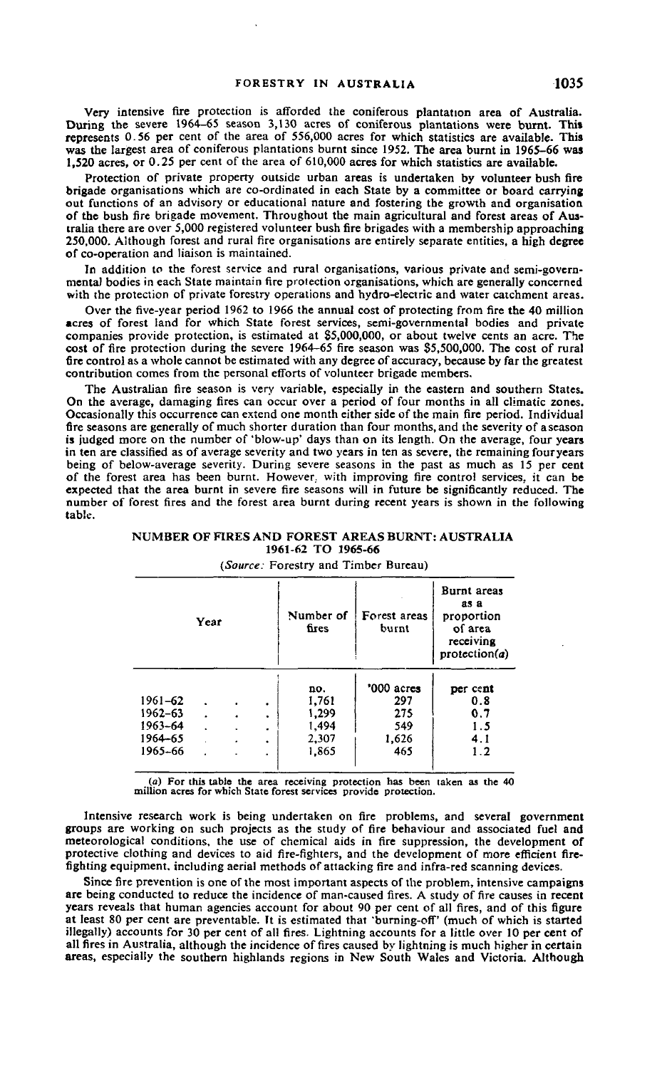Very intensive fire protection is afforded the coniferous plantation area of Australia. During the severe 1964-65 season 3,130 acres of coniferous plantations were burnt. This represents 0.56 per cent of the area of 556,000 acres for which statistics are available. This was the largest area of coniferous plantations burnt since 1952. The area burnt in 1965-66 was 1,520 acres, or 0.25 per cent of the area of 610,000 acres for which statistics are available.

Protection of private property outside urban areas is undertaken by volunteer bush fire brigade organisations which are co-ordinated in each State by a committee or board carrying out functions of an advisory or educational nature and fostering the growth and organisation of the bush fire brigade movement. Throughout the main agricultural and forest areas of Australia there are over 5,000 registered volunteer bush fire brigades with a membership approaching 250.000. Although forest and rural fire organisations are entirely separate entities, a high degree of co-operation and liaison is maintained.

In addition to the forest service and rural organisations, various private and semi-governmcntal bodies in each State maintain fire protection organisations, which are generally concerned with the protection of private forestry operations and hydro-electric and water catchment areas.

Over the five-year period 1962 to 1966 the annual cost of protecting from fire the 40 million acres of forest land for which State forest services, semi-governmental bodies and private companies provide protection, is estimated at \$5,000,000, or about twelve cents an acre. The cost of fire protection during the severe 1964-65 fire season was \$5,500,000. The cost of rural fire control as a whole cannot be estimated with any degree of accuracy, because by far the greatest contribution comes from the personal efforts of volunteer brigade members.

The Australian fire season is very variable, especially in the eastern and southern States. On the average, damaging fires can occur over a period of four months in all climatic zones. Occasionally this occurrence can extend one month either side of the main fire period. Individual fire seasons are generally of much shorter duration than four months, and the severity of a season is judged more on the number of 'blow-up' days than on its length. On the average, four years in ten are classified as of average severity and two years in ten as severe, the remaining four years being of below-average severity. During severe seasons in the past as much as 15 per cent of the forest area has been burnt. However, with improving fire control services, it can be expected that the area burnt in severe fire seasons will in future be significantly reduced. The number of forest fires and the forest area burnt during recent years is shown in the following table.

**NUMBER OF FIRES AND FOREST AREAS BURNT: AUSTRALIA 1961-62 TO J965-66**

| Year        |  |  | Number of<br>fires | Forest areas<br>burnt | Burnt areas<br>as a<br>proportion<br>of area<br>receiving<br>protection(a) |          |
|-------------|--|--|--------------------|-----------------------|----------------------------------------------------------------------------|----------|
|             |  |  |                    | no.                   | '000 acres                                                                 | per cent |
| 1961-62     |  |  | ٠                  | 1,761                 | 297                                                                        | 0.8      |
| $1962 - 63$ |  |  | ٠                  | 1,299                 | 275                                                                        | 0.7      |
| 1963-64     |  |  | ۰                  | 1,494                 | 549                                                                        | 1.5      |
| 1964-65     |  |  | $\bullet$          | 2,307                 | 1,626                                                                      | 4.1      |
| 1965-66     |  |  |                    | 1.865                 | 465                                                                        | 1.2      |

#### *(Source:* Forestry and Timber Bureau)

(a) For this table the area receiving protection has been taken as the 40 million acres for which State forest services provide protection.

Intensive research work is being undertaken on fire problems, and several government groups are working on such projects as the study of fire behaviour and associated fuel and meteorological conditions, the use of chemical aids in fire suppression, the development of protective clothing and devices to aid fire-fighters, and the development of more efficient firefighting equipment, including aerial methods of attacking fire and infra-red scanning devices.

Since fire prevention is one of the most important aspects of the problem, intensive campaigns are being conducted to reduce the incidence of man-caused fires. A study of fire causes in recent years reveals that human agencies account for about 90 per cent of all fires, and of this figure at least 80 per cent are preventable. It is estimated that 'burning-off' (much of which is started illegally) accounts for 30 per cent of all fires. Lightning accounts for a little over 10 per cent of all fires in Australia, although the incidence of fires caused by lightning is much higher in certain areas, especially the southern highlands regions in New South Wales and Victoria. Although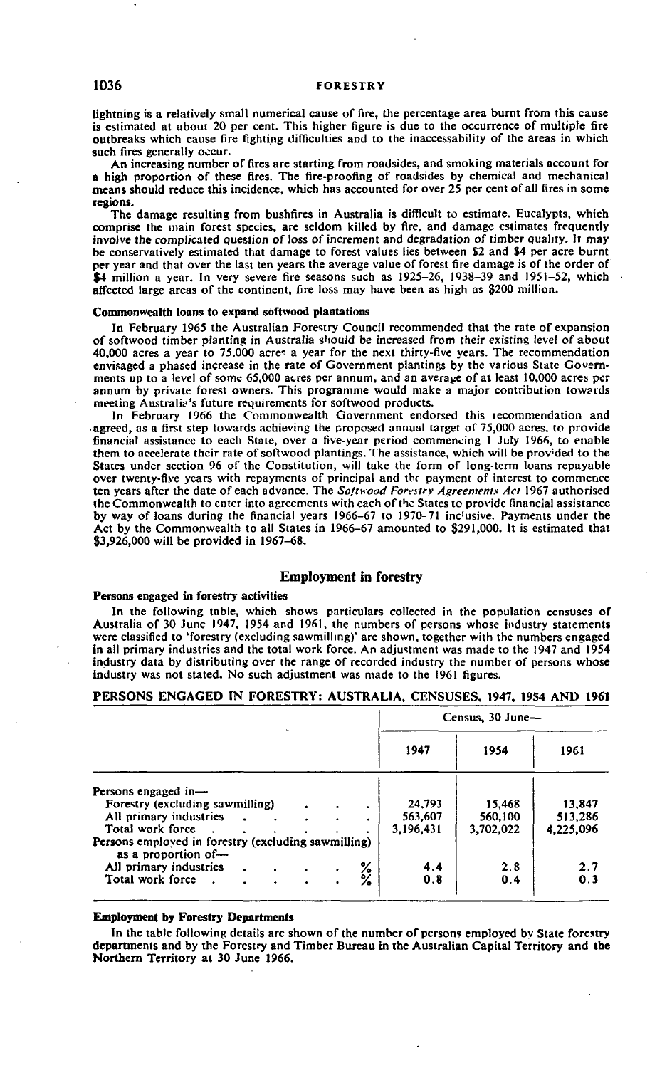lightning is a relatively small numerical cause of fire, the percentage area burnt from this cause is estimated at about 20 per cent. This higher figure is due to the occurrence of multiple fire outbreaks which cause fire fighting difficulties and to the inaccessability of the areas in which such fires generally occur.

An increasing number of fires are starting from roadsides, and smoking materials account for a high proportion of these fires. The fire-proofing of roadsides by chemical and mechanical means should reduce this incidence, which has accounted for over 25 per cent of all tires in some regions.

The damage resulting from bushfires in Australia is difficult to estimate. Eucalypts, which comprise the main forest species, are seldom killed by fire, and damage estimates frequently involve the complicated question of loss of increment and degradation of timber quality. It may be conservatively estimated that damage to forest values lies between \$2 and \$4 per acre burnt per year and that over the last ten years the average value of forest fire damage is of the order of \$4 million a year. In very severe fire seasons such as 1925-26, 1938-39 and 1951-52, which affected large areas of the continent, fire loss may have been as high as 8200 million.

#### **Commonwealth loans to expand softwood plantations**

In February 1965 the Australian Forestry Council recommended that the rate of expansion of softwood timber planting in Australia should be increased from their existing level of about 40,000 acres a year to 75,000 acres a year for the next thirty-five years. The recommendation envisaged a phased increase in the rate of Government plantings by the various State Governments up to a level of some 65,000 acres per annum, and an average of at least 10,000 acres per annum by private forest owners. This programme would make a major contribution towards meeting Australia's future requirements for softwood products.

In February 1966 the Commonwealth Government endorsed this recommendation and • agreed, as a first step towards achieving the proposed animal target of 75,000 acres, to provide financial assistance to each State, over a five-year period commencing 1 July 1966, to enable them to accelerate their rate of softwood plantings. The assistance, which will be provided to the States under section 96 of the Constitution, will take the form of long-term loans repayable over twenty-five years with repayments of principal and thr payment of interest to commence ten years after the date of each advance. The *Softvood Forestry Agreements Act* 1967 authorised the Commonwealth to enter into agreements with each of the States to provide financial assistance by way of loans during the financial years 1966-67 to 1970-71 inclusive. Payments under the Act by the Commonwealth to all States in 1966-67 amounted to \$291,000. It is estimated that \$3,926,000 will be provided in 1967-68.

### **Employment in forestry**

#### **Persons engaged in forestry activities**

In the following table, which shows particulars collected in the population censuses of Australia of 30 June 1947, 1954 and 1961, the numbers of persons whose industry statements were classified to 'forestry (excluding sawmilling)' are shown, together with the numbers engaged in all primary industries and the total work force. An adjustment was made to the 1947 and 1954 industry data by distributing over the range of recorded industry the number of persons whose industry was not stated. No such adjustment was made to the 1961 figures.

### **PERSONS ENGAGED IN FORESTRY: AUSTRALIA, CENSUSES, 1947, 19S4 AND 1961**

|                                                                            |           | Census, 30 June- |           |  |  |  |  |
|----------------------------------------------------------------------------|-----------|------------------|-----------|--|--|--|--|
|                                                                            | 1947      | 1954             | 1961      |  |  |  |  |
| Persons engaged in-                                                        |           |                  |           |  |  |  |  |
| Forestry (excluding sawmilling)                                            | 24,793    | 15.468           | 13,847    |  |  |  |  |
| All primary industries                                                     | 563,607   | 560,100          | 513,286   |  |  |  |  |
| Total work force                                                           | 3,196,431 | 3,702,022        | 4,225,096 |  |  |  |  |
| Persons employed in forestry (excluding sawmilling)<br>as a proportion of- |           |                  |           |  |  |  |  |
| All primary industries                                                     | 4.4       | 2.8              | 2.7       |  |  |  |  |
| ℅<br>Total work force.                                                     | 0.8       | 0.4              | 0.3       |  |  |  |  |

### **Employment by Forestry Departments**

In the table following details are shown of the number of persons employed by State forestry departments and by the Forestry and Timber Bureau in the Australian Capital Territory and the Northern Territory at 30 June 1966.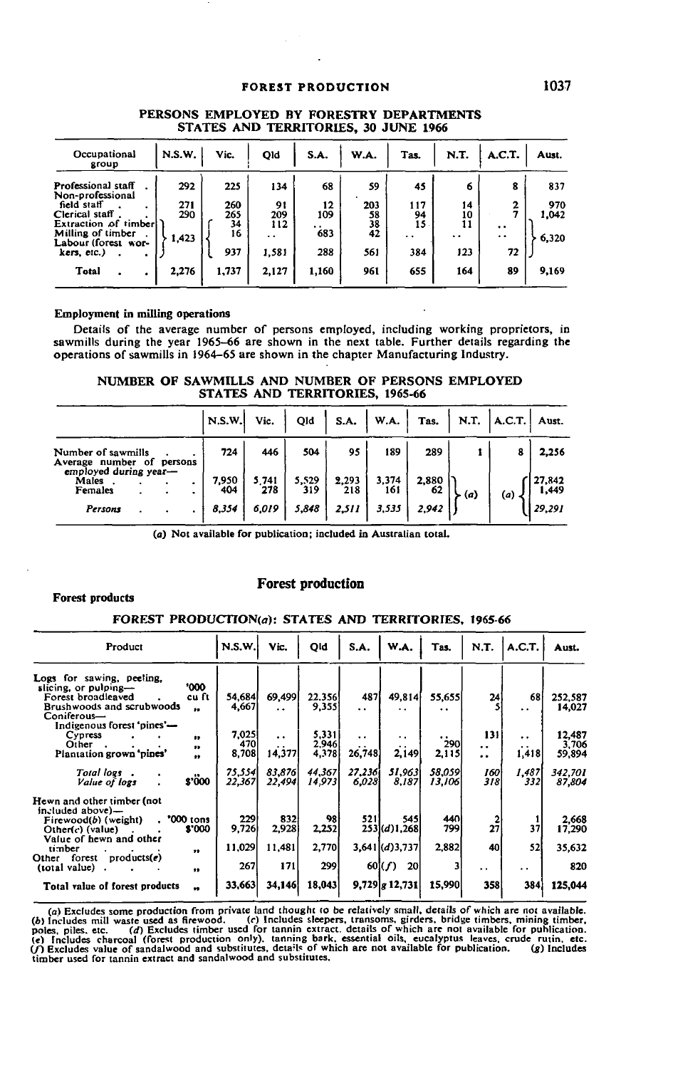### **FOREST PRODUCTION 1037**

| Occupational<br>group                                             | N.S.W.     | Vic.       | Qld                         | S.A.                        | W.A.      | Tas.                       | N.T.            | A.C.T.                          | Aust.        |
|-------------------------------------------------------------------|------------|------------|-----------------------------|-----------------------------|-----------|----------------------------|-----------------|---------------------------------|--------------|
| Professional staff<br>Non-professional                            | 292        | 225        | 134                         | 68                          | 59        | 45                         | 6               | 8                               | 837          |
| field staff<br>Clerical staff                                     | 271<br>290 | 260<br>265 | 91<br>209                   | 12<br>109                   | 203<br>58 | 117<br>94                  | 14<br>10        | 2                               | 970<br>1,042 |
| Extraction of timber!<br>Milling of timber<br>Labour (forest wor- | 1,423      | 34<br>16   | 112<br>$\ddot{\phantom{0}}$ | $\ddot{\phantom{1}}$<br>683 | 38<br>42  | 15<br>$\ddot{\phantom{0}}$ | 11<br>$\cdot$ . | $\cdot$<br>$\ddot{\phantom{0}}$ | 6,320        |
| kers, etc.)                                                       |            | 937        | 1,581                       | 288                         | 561       | 384                        | 123             | 72                              |              |
| <b>Total</b>                                                      | 2,276      | 1,737      | 2,127                       | 1,160                       | 961       | 655                        | 164             | 89                              | 9,169        |

### **PERSONS EMPLOYED BY FORESTRY DEPARTMENTS STATES AND TERRITORIES, 30 JUNE 1966**

### **Employment in milling operations**

Details of the average number of persons employed, including working proprietors, in sawmills during the year 1965-66 are shown in the next table. Further details regarding the operations of sawmills in 1964-65 are shown in the chapter Manufacturing Industry.

**NUMBER OF SAWMILLS AND NUMBER OF PERSONS EMPLOYED STATES AND TERRITORIES, 1965-66**

|                                                                  |         | N.S.W.       | Vic.         | Qld          | S.A.         | $\vert$ W.A. $\vert$ Tas. |             |     | $ $ N.T. $ $ A.C.T. | Aust.           |
|------------------------------------------------------------------|---------|--------------|--------------|--------------|--------------|---------------------------|-------------|-----|---------------------|-----------------|
| Number of sawmills<br>Average number of<br>employed during year- | persons | 724          | 446          | 504          | 95           | 189                       | 289         |     | 8                   | 2,256           |
| Males<br>Females                                                 |         | 7,950<br>404 | 5.741<br>278 | 5,529<br>319 | 2,293<br>218 | 3,374<br>161              | 2,880<br>62 | (a) | (a)                 | 27,842<br>1,449 |
| Persons                                                          |         | 8,354        | 6,019        | 5,848        | 2.511        | 3,535                     | 2,942       |     |                     | 29,291          |

(a) Not available for publication; included in Australian total.

### Forest products

### Forest production

#### **FOREST PRODUCTION(a): STATES AND TERRITORIES. 1965-66**

| Product                                                                                                                                                         | N.S.W.                | Vic.                                  | Qld                     | S.A.                                        | W.A.                                 | Tas.                | N.T.                                                | A.C.T.                     | Aust.                     |
|-----------------------------------------------------------------------------------------------------------------------------------------------------------------|-----------------------|---------------------------------------|-------------------------|---------------------------------------------|--------------------------------------|---------------------|-----------------------------------------------------|----------------------------|---------------------------|
| Logs for sawing, peeling,<br>'000<br>slicing, or pulping-<br>Forest broadleaved<br>cu ft<br>Brushwoods and scrubwoods<br>$\bullet\bullet$                       | 54,684<br>4,667       | 69,499<br>$\ddot{\phantom{a}}$        | 22.356<br>9,355         | 487<br>$\ddotsc$                            | 49,814<br>. .                        | 55,655<br>. .       | 24                                                  | 68<br>$\ddot{\phantom{1}}$ | 252,587<br>14,027         |
| Coniferous-<br>Indigenous forest 'pines'—<br>Cypress<br><br>Other<br>,,<br>Plantation grown 'pines'<br>$\bullet\bullet$                                         | 7.025<br>470<br>8,708 | $\ddot{\phantom{1}}$<br>. .<br>14,377 | 5,331<br>2.946<br>4,378 | $\ddotsc$<br>$\ddot{\phantom{0}}$<br>26,748 | . .<br>$\ddot{\phantom{a}}$<br>2,149 | . .<br>290<br>2,115 | 131<br>$\ddot{\phantom{0}}$<br>$\ddot{\phantom{1}}$ | $\ddotsc$<br>. .<br>1,418  | 12,487<br>3,706<br>59,894 |
| Total logs.<br>$\bullet\bullet$<br>\$'000<br>Value of logs                                                                                                      | 75,554<br>22,367      | 83.876<br>22,494                      | 44.367<br>14,973        | 27.236i<br>6,028                            | 51.963<br>8.187                      | 58.059<br>13,106    | 160<br>318                                          | 1.487<br>3321              | 342,701<br>87.804         |
| Hewn and other timber (not<br>included above)—<br>'000 tons<br>$F$ irewood $(b)$ (weight)<br>$\cdot$<br>\$'000<br>$Other(c)$ (value)<br>Value of hewn and other | 229<br>9,726          | 832<br>2,928                          | 98<br>2,252             | 5211                                        | 545<br>$253$ (d) 1,268               | 440<br>799          | 27                                                  | 37                         | 2,668<br>17,290           |
| timber<br>$\bullet\bullet$<br>forest products $(e)$<br>Other                                                                                                    | 11,029                | 11,481                                | 2,770                   |                                             | $3,641$ $(d)3,737$                   | 2,882               | 40                                                  | 52                         | 35,632                    |
| (total value)<br>$\bullet\bullet$                                                                                                                               | 267                   | 171                                   | 299                     |                                             | 60(f)<br><b>20</b>                   |                     | . .                                                 | $\ddot{\phantom{0}}$       | 820                       |
| Total value of forest products<br>$\bullet$                                                                                                                     | 33.663                | 34,146                                | 18,043                  |                                             | $9,729$ $g$ 12,731                   | 15,990              | 358                                                 | 384                        | 125,044                   |

(a) Excludes some production from private land thought to be relatively small, details of which are not available.<br>(b) Includes mill waste used as firewood. (c) Includes sleepers, transsons, girders, bridge timbers, minin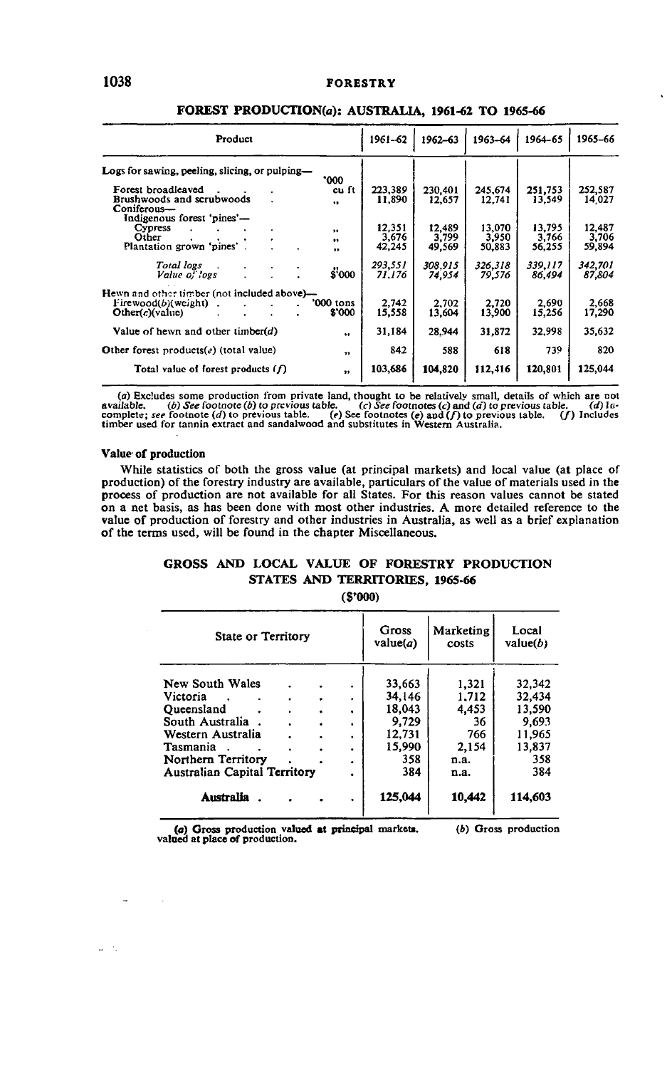# **1038 FORESTRY**

 $\ddot{\phantom{a}}$ 

| Product                                                                                                   | 1961-62                           | 1962-63                   | 1963-64                   | 1964-65                   | 1965-66                   |  |  |  |  |  |  |  |
|-----------------------------------------------------------------------------------------------------------|-----------------------------------|---------------------------|---------------------------|---------------------------|---------------------------|--|--|--|--|--|--|--|
| Logs for sawing, peeling, slicing, or pulping—                                                            |                                   |                           |                           |                           |                           |  |  |  |  |  |  |  |
| '000<br>Forest broadleaved<br>Brushwoods and scrubwoods<br>$\bullet$<br>Coniferous-                       | 223,389<br>cu ft<br>11,890        | 230.401<br>12,657         | 245,674<br>12,741         | 251.753<br>13,549         | 252,587<br>14.027         |  |  |  |  |  |  |  |
| Indigenous forest 'pines'—<br>Cypress<br>,,<br>Other<br>.,<br>Plantation grown 'pines'.<br>.,             | 12,351<br>3.676<br>42,245         | 12.489<br>3,799<br>49,569 | 13,070<br>3,950<br>50,883 | 13,795<br>3.766<br>56,255 | 12,487<br>3.706<br>59,894 |  |  |  |  |  |  |  |
| <b>Total</b> logs<br>Value of logs                                                                        | 293,551<br><b>S'000</b><br>71.176 | 308.915<br>74,954         | 326,318<br>79,576         | 339,117<br>86.494         | 342.701<br>87.804         |  |  |  |  |  |  |  |
| Hewn and other timber (not included above)-<br>'000 tons<br>$F$ irewood $(b)$ (weight)<br>Other(c)(value) | 2.742<br>\$'000<br>15,558         | 2.702<br>13,604           | 2.720<br>13,900           | 2.690<br>15.256           | 2.668<br>17,290           |  |  |  |  |  |  |  |
| Value of hewn and other timber( $d$ )                                                                     | 31,184<br>                        | 28,944                    | 31,872                    | 32.998                    | 35,632                    |  |  |  |  |  |  |  |
| Other forest products $(e)$ (total value)                                                                 | 842<br>$\bullet$                  | 588                       | 618                       | 739                       | 820                       |  |  |  |  |  |  |  |
| Total value of forest products $(f)$                                                                      | 103,686<br>$\ddot{\phantom{0}}$   | 104,820                   | 112,416                   | 120,801                   | 125,044                   |  |  |  |  |  |  |  |

### **FOREST PRODUCTION^): AUSTRALIA, 1961-62 TO 1965-66**

(a) Excludes some production from private land, thought to be relatively small, details of which are not available. (b) See footnotes (c) and (c) to previous table. (c) and (d) to previous table. (d) Incomplete; see footn

#### **Value of production**

 $\overline{\phantom{a}}$ 

 $\mu=2$ 

 $\sim$   $\sim$ 

While statistics of both the gross value (at principal markets) and local value (at place of production) of the forestry industry are available, particulars of the value of materials used in the process of production are not available for all States. For this reason values cannot be stated on a net basis, as has been done with most other industries. A more detailed reference to the value of production of forestry and other industries in Australia, as well as a brief explanation of the terms used, will be found in the chapter Miscellaneous.

# **GROSS AND LOCAL VALUE OF FORESTRY PRODUCTION STATES AND TERRITORIES, 1965-66**

**(S'OOO)**

| State or Territory                                                                                                                                         |        |                                                   | Gross<br>value $(a)$                                                  | Marketing<br>costs                                            | Local<br>value(b)                                                     |
|------------------------------------------------------------------------------------------------------------------------------------------------------------|--------|---------------------------------------------------|-----------------------------------------------------------------------|---------------------------------------------------------------|-----------------------------------------------------------------------|
| New South Wales<br>Victoria<br>Oueensland<br>South Australia<br>Western Australia<br>Tasmania<br>Northern Territory<br><b>Australian Capital Territory</b> | ٠<br>٠ | ٠<br>٠<br>٠<br>$\blacksquare$<br>٠<br>٠<br>٠<br>٠ | 33.663<br>34.146<br>18.043<br>9.729<br>12,731<br>15,990<br>358<br>384 | 1,321<br>1.712<br>4.453<br>36<br>766<br>2.154<br>n.a.<br>n.a. | 32,342<br>32,434<br>13,590<br>9.693<br>11,965<br>13,837<br>358<br>384 |
| Australia                                                                                                                                                  |        | $\bullet$                                         | 125,044                                                               | 10.442                                                        | 114,603                                                               |

**(a) Gross production valued at principal markets, valued at place of production.** (b) Gross production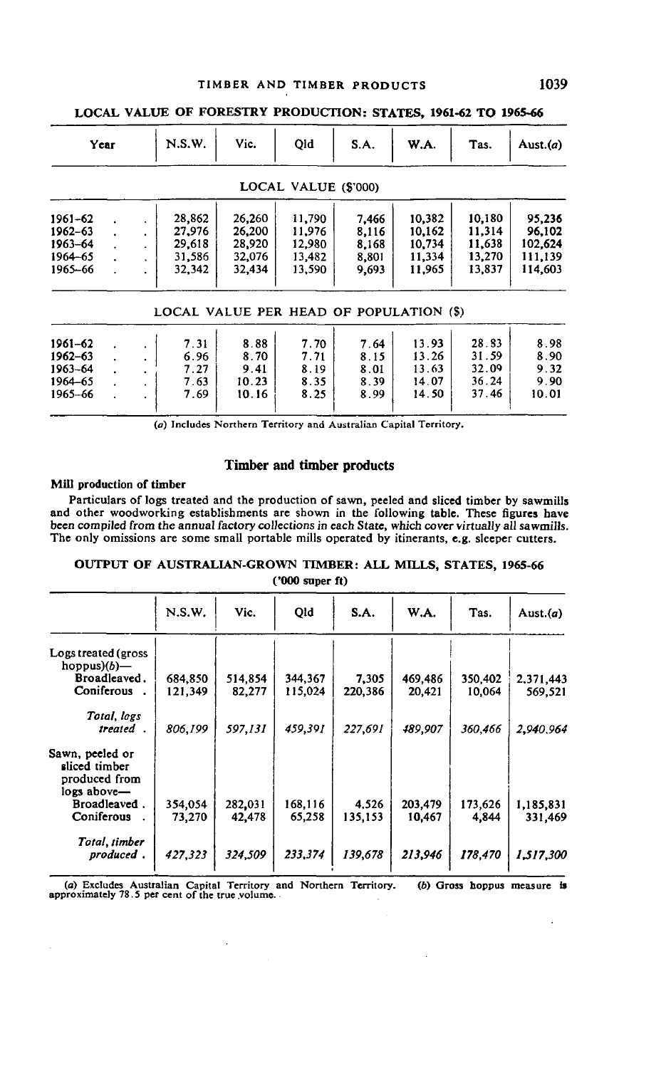# **TIMBER AND TIMBER PRODUCTS 1039**

|                                                     | Year |         | N.S.W.                                         | Vic.                                           | Old                                            | S.A.                                      | W.A.                                           | Tas.                                           | Aust. $(a)$                                       |
|-----------------------------------------------------|------|---------|------------------------------------------------|------------------------------------------------|------------------------------------------------|-------------------------------------------|------------------------------------------------|------------------------------------------------|---------------------------------------------------|
|                                                     |      |         |                                                |                                                | LOCAL VALUE (\$'000)                           |                                           |                                                |                                                |                                                   |
| 1961-62<br>1962-63<br>1963-64<br>1964-65<br>1965-66 |      | $\cdot$ | 28,862<br>27,976<br>29,618<br>31,586<br>32,342 | 26.260<br>26,200<br>28,920<br>32,076<br>32,434 | 11.790<br>11,976<br>12.980<br>13,482<br>13,590 | 7.466<br>8,116<br>8,168<br>8,801<br>9,693 | 10,382<br>10.162<br>10.734<br>11,334<br>11.965 | 10.180<br>11,314<br>11,638<br>13,270<br>13,837 | 95,236<br>96,102<br>102.624<br>111,139<br>114,603 |
|                                                     |      |         | LOCAL VALUE PER HEAD OF POPULATION (\$)        |                                                |                                                |                                           |                                                |                                                |                                                   |
| 1961–62<br>1962-63<br>1963-64<br>1964-65<br>1965-66 |      |         | 7.31<br>6.96<br>7.27<br>7.63<br>7.69           | 8.88<br>8.70<br>9.41<br>10.23<br>10.16         | 7.70<br>7.71<br>8.19<br>8.35<br>8.25           | 7.64<br>8.15<br>8.01<br>8.39<br>8.99      | 13.93<br>13.26<br>13.63<br>14.07<br>14.50      | 28.83<br>31.59<br>32.09<br>36.24<br>37.46      | 8.98<br>8.90<br>9.32<br>9.90<br>10.01             |

# **LOCAL VALUE OF FORESTRY PRODUCTION: STATES, 1961-62 TO 1965-66**

(a) Includes Northern Territory and Australian Capital Territory.

### **Timber and timber products**

#### Mill production of timber

Particulars of logs treated and the production of sawn, peeled and sliced timber by sawmills and other woodworking establishments are shown in the following table. These figures have been compiled from the annual factory collections in each State, which cover virtually all sawmills. The only omissions are some small portable mills operated by itinerants, e.g. sleeper cutters.

# **OUTPUT OF AUSTRALIAN-GROWN TIMBER: ALL MILLS, STATES, 1965-66 ('000 super ft)**

|                                                                  | N.S.W.             | Vic.              | Old                 | S.A.             | <b>W.A.</b>       | Tas.              | Aust. $(a)$          |
|------------------------------------------------------------------|--------------------|-------------------|---------------------|------------------|-------------------|-------------------|----------------------|
| Logs treated (gross<br>hoppus $(b)$ —                            |                    |                   |                     |                  |                   |                   |                      |
| Broadleaved.<br>Coniferous.                                      | 684,850<br>121.349 | 514,854<br>82,277 | 344, 367<br>115,024 | 7,305<br>220,386 | 469,486<br>20,421 | 350.402<br>10.064 | 2,371,443<br>569,521 |
| Total, logs<br>treated.                                          | 806,199            | 597,131           | 459,391             | 227,691          | 489,907           | 360,466           | 2,940,964            |
| Sawn, peeled or<br>sliced timber<br>produced from<br>logs above— |                    |                   |                     |                  |                   |                   |                      |
| Broadleaved.<br>Coniferous                                       | 354,054<br>73,270  | 282,031<br>42,478 | 168,116<br>65,258   | 4.526<br>135,153 | 203,479<br>10,467 | 173.626<br>4,844  | 1,185,831<br>331.469 |
| Total, timber<br>produced.                                       | 427,323            | 324,509           | 233,374             | 139,678          | 213,946           | 178,470           | 1,517,300            |

(a) Excludes Australian Capital Territory and Northern Territory. (b) Gross hoppus measure is approximately 78.5 per cent of the true volume.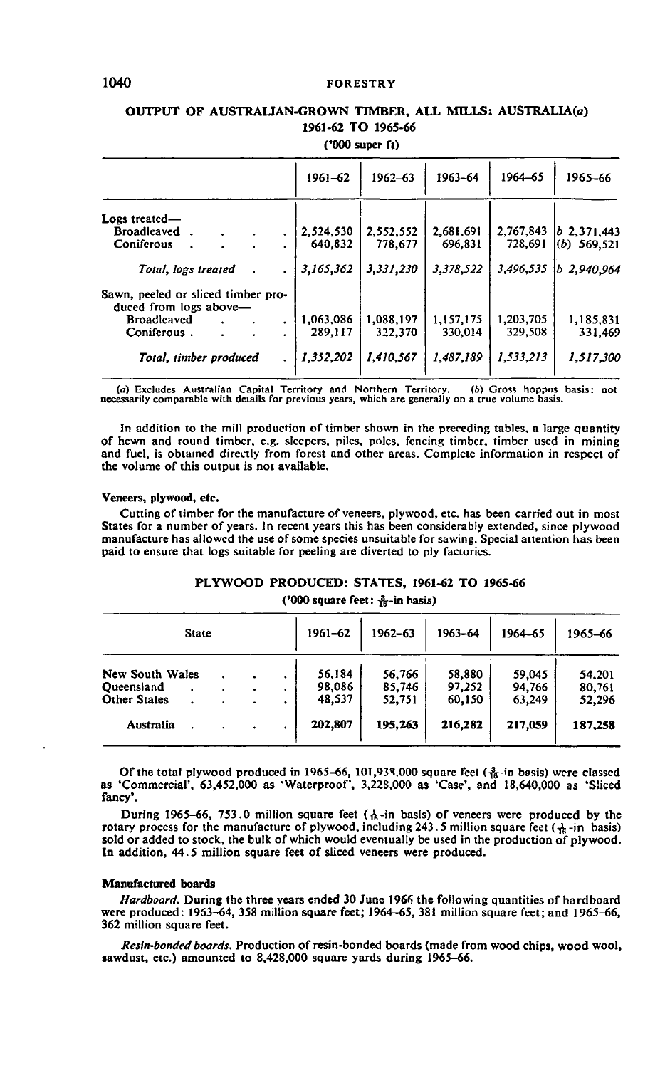# 1040 **FORESTRY**

# **OUTPUT OF AUSTRALIAN-GROWN TIMBER, ALL MILLS: AUSTRALIA^) 1961-62 TO 1965-66**

**('000 super ft)**

|                                                              | 1961-62   | 1962-63   | 1963-64   | 1964-65   | 1965-66          |
|--------------------------------------------------------------|-----------|-----------|-----------|-----------|------------------|
| Logs treated-                                                |           |           |           |           |                  |
| Broadleaved.<br>٠                                            | 2,524,530 | 2,552,552 | 2.681.691 | 2,767,843 | $ b\>2.371.443$  |
| Coniferous<br>۰                                              | 640.832   | 778,677   | 696,831   | 728,691   | $(6)$ 569.521    |
| Total, logs treated<br>٠                                     | 3,165,362 | 3,331,230 | 3,378,522 | 3,496,535 | $ b\>$ 2.940.964 |
| Sawn, peeled or sliced timber pro-<br>duced from logs above- |           |           |           |           |                  |
| <b>Broadleaved</b><br>٠                                      | 1,063,086 | 1,088,197 | 1,157,175 | 1,203,705 | 1,185,831        |
| Coniferous.<br>۰                                             | 289.117   | 322,370   | 330.014   | 329,508   | 331,469          |
| Total, timber produced                                       | 1,352,202 | 1,410,567 | 1,487,189 | 1,533,213 | 1,517,300        |

(a) Excludes Australian Capital Territory and Northern Territory. (b) Gross hoppus basis: not necessarily comparable with details for previous years, which are generally on a true volume basis.

In addition to the mill production of timber shown in the preceding tables, a large quantity of hewn and round timber, e.g. sleepers, piles, poles, fencing timber, timber used in mining and fuel, is obtained directly from forest and other areas. Complete information in respect of the volume of this output is not available.

### **Veneers, plywood, etc.**

Cutting of timber for the manufacture of veneers, plywood, etc. has been carried out in most States for a number of years. In recent years this has been considerably extended, since plywood manufacture has allowed the use of some species unsuitable for sawing. Special attention has been paid to ensure that logs suitable for peeling are diverted to ply factories.

# **PLYWOOD PRODUCED: STATES, 1961-62 TO 1965-66**

**("000 square feet: -fe-in basis)**

| State                                                       |  |   | 1961-62             | 1962-63                    | 1963-64                    | 1964-65                    | 1965-66                    |                            |
|-------------------------------------------------------------|--|---|---------------------|----------------------------|----------------------------|----------------------------|----------------------------|----------------------------|
| New South Wales<br><b>Queensland</b><br><b>Other States</b> |  | ٠ | ٠<br>٠<br>$\bullet$ | 56,184<br>98,086<br>48,537 | 56,766<br>85,746<br>52,751 | 58,880<br>97,252<br>60,150 | 59,045<br>94.766<br>63,249 | 54.201<br>80.761<br>52,296 |
| Australia                                                   |  |   |                     | 202,807                    | 195.263                    | 216,282                    | 217.059                    | 187,258                    |

Of the total plywood produced in 1965–66, 101,939,000 square feet  $\left(\frac{3}{16} \cdot \text{in basis}\right)$  were classed as 'Commercial', 63,452,000 as 'Waterproof', 3,223,000 as 'Case', and 18,640,000 as 'Sliced fancy'.

During 1965-66, 753.0 million square feet ( $\frac{1}{16}$ -in basis) of veneers were produced by the rotary process for the manufacture of plywood, including 243.5 million square feet ( $\frac{1}{16}$ -in basis) sold or added to stock, the bulk of which would eventually be used in the production of plywood. In addition, 44.5 million square feet of sliced veneers were produced.

### **Manufactured boards**

Hardboard. During the three years ended 30 June 1966 the following quantities of hardboard were produced: 1953-64, 358 million square feet; 1964-65, 381 million square feet; and 1965-66, 362 million square feet.

*Resin-bonded boards.* Production of resin-bonded boards (made from wood chips, wood wool, sawdust, etc.) amounted to 8,428,000 square yards during 1965-66.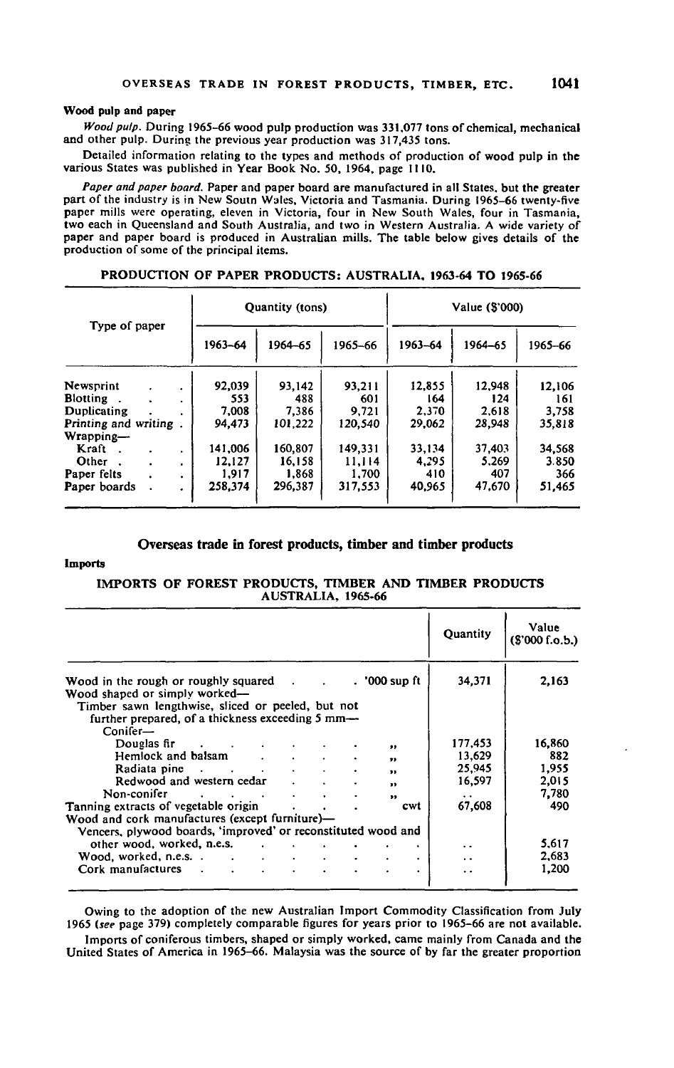# **Wood pulp and paper**

*Wood pulp.* During 1965-66 wood pulp production was 331,077 tons of chemical, mechanical and other pulp. During the previous year production was 317,435 tons.

Detailed information relating to the types and methods of production of wood pulp in the various States was published in Year Book No. 50, 1964, page 1110.

Paper and paper board. Paper and paper board are manufactured in all States, but the greater<br>part of the industry is in New Soutn Wales, Victoria and Tasmania. During 1965–66 twenty-five<br>paper mills were operating, eleven two each in Queensland and South Australia, and two in Western Australia. A wide variety of paper and paper board is produced in Australian mills. The table below gives details of the production of some of the principal items.

|                                    |         | Quantity (tons) |         | Value (\$'000) |         |         |  |
|------------------------------------|---------|-----------------|---------|----------------|---------|---------|--|
| Type of paper                      | 1963-64 | 1964-65         | 1965-66 | 1963-64        | 1964-65 | 1965-66 |  |
| Newsprint                          | 92,039  | 93,142          | 93.211  | 12,855         | 12,948  | 12,106  |  |
| <b>Blotting</b><br>۰.              | 553     | 488             | -601    | 164            | 124     | 161     |  |
| Duplicating                        | 7,008   | 7.386           | 9.721   | 2,370          | 2.618   | 3.758   |  |
| Printing and writing.<br>Wrapping- | 94,473  | 101.222         | 120,540 | 29.062         | 28,948  | 35,818  |  |
| Kraft                              | 141,006 | 160,807         | 149,331 | 33,134         | 37,403  | 34.568  |  |
| Other<br>٠                         | 12.127  | 16,158          | 11.114  | 4.295          | 5,269   | 3.850   |  |
| Paper felts<br>٠                   | 1.917   | 1,868           | 1.700   | 410            | 407     | 366     |  |
| Paper boards                       | 258,374 | 296.387         | 317,553 | 40,965         | 47.670  | 51.465  |  |

**PRODUCTION OF PAPER PRODUCTS: AUSTRALIA. 1963-64 TO 1965-66**

### **Overseas trade in forest products, timber and timber products**

### **Imports**

**IMPORTS OF FOREST PRODUCTS, TIMBER AND TIMBER PRODUCTS AUSTRALIA, 1965-66**

|                                                                                                                                                                                                                                                    | Quantity             | Value<br>(\$'000 f.o.b.) |
|----------------------------------------------------------------------------------------------------------------------------------------------------------------------------------------------------------------------------------------------------|----------------------|--------------------------|
| . '000 sup ft<br>Wood in the rough or roughly squared.                                                                                                                                                                                             | 34,371               | 2.163                    |
| Wood shaped or simply worked-                                                                                                                                                                                                                      |                      |                          |
| Timber sawn lengthwise, sliced or peeled, but not                                                                                                                                                                                                  |                      |                          |
| further prepared, of a thickness exceeding 5 mm-                                                                                                                                                                                                   |                      |                          |
| $Conifer-$                                                                                                                                                                                                                                         |                      |                          |
| Douglas fir research and the control of the control of the control of the control of the control of the control of the control of the control of the control of the control of the control of the control of the control of th<br>$\bullet\bullet$ | 177.453              | 16,860                   |
| Hemlock and balsam<br>$\mathcal{L}(\mathcal{L})$ and $\mathcal{L}(\mathcal{L})$ .<br>٠<br>,,                                                                                                                                                       | 13.629               | 882                      |
| $\bullet$                                                                                                                                                                                                                                          | 25,945               | 1,955                    |
| Redwood and western cedar<br>$\bullet$                                                                                                                                                                                                             | 16,597               | 2.015                    |
| Non-conifer<br>$\sim 100$<br>٠<br>,,                                                                                                                                                                                                               | $\ddot{\phantom{1}}$ | 7.780                    |
| Tanning extracts of vegetable origin<br>cwt<br>$\sim$ $\sim$                                                                                                                                                                                       | 67.608               | 490                      |
| Wood and cork manufactures (except furniture)-                                                                                                                                                                                                     |                      |                          |
| Vencers, plywood boards, 'improved' or reconstituted wood and                                                                                                                                                                                      |                      |                          |
| other wood, worked, n.e.s.<br>and the state of the state of                                                                                                                                                                                        | . .                  | 5,617                    |
| $\mathbf{r} = \mathbf{r}$ , $\mathbf{r} = \mathbf{r}$                                                                                                                                                                                              | $\ddot{\phantom{1}}$ | 2.683                    |
| Cork manufactures .<br>$\ddot{\phantom{a}}$                                                                                                                                                                                                        | $\ddot{\phantom{0}}$ | 1,200                    |

Owing to the adoption of the new Australian Import Commodity Classification from July 1965 *(see* page 379) completely comparable figures for years prior to 1965-66 are not available. Imports of coniferous timbers, shaped or simply worked, came mainly from Canada and the United States of America in 1965-66. Malaysia was the source of by far the greater proportion